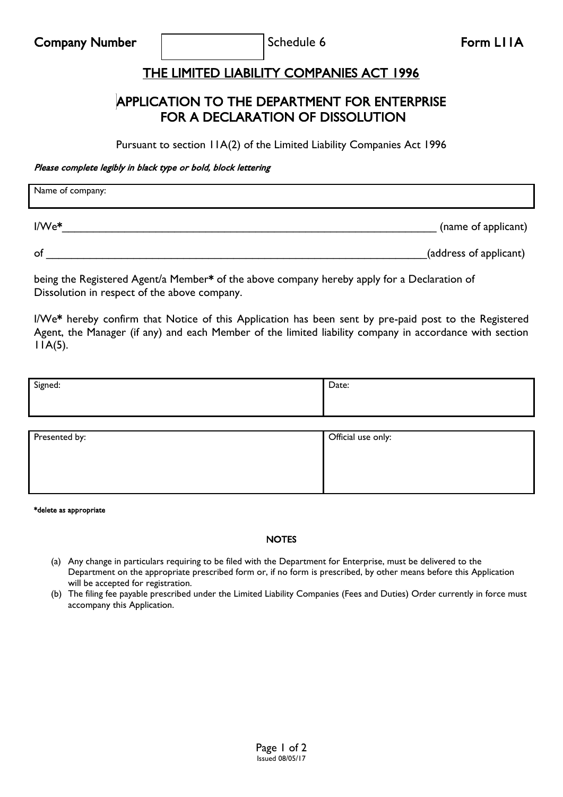# THE LIMITED LIABILITY COMPANIES ACT 1996

# APPLICATION TO THE DEPARTMENT FOR ENTERPRISE FOR A DECLARATION OF DISSOLUTION

Pursuant to section 11A(2) of the Limited Liability Companies Act 1996

### Please complete legibly in black type or bold, block lettering

| Name of company: |                     |
|------------------|---------------------|
| $I/We*$          | (name of applicant) |

of the contract of the contract of  $(address\ of\ applicant)$ 

being the Registered Agent/a Member\* of the above company hereby apply for a Declaration of Dissolution in respect of the above company.

I/We\* hereby confirm that Notice of this Application has been sent by pre-paid post to the Registered Agent, the Manager (if any) and each Member of the limited liability company in accordance with section  $11A(5)$ .

| Signed: | Date: |
|---------|-------|
|         |       |
|         |       |

| Presented by: | Official use only: |
|---------------|--------------------|
|               |                    |
|               |                    |
|               |                    |

\*delete as appropriate

#### **NOTES**

- (a) Any change in particulars requiring to be filed with the Department for Enterprise, must be delivered to the Department on the appropriate prescribed form or, if no form is prescribed, by other means before this Application will be accepted for registration.
- (b) The filing fee payable prescribed under the Limited Liability Companies (Fees and Duties) Order currently in force must accompany this Application.